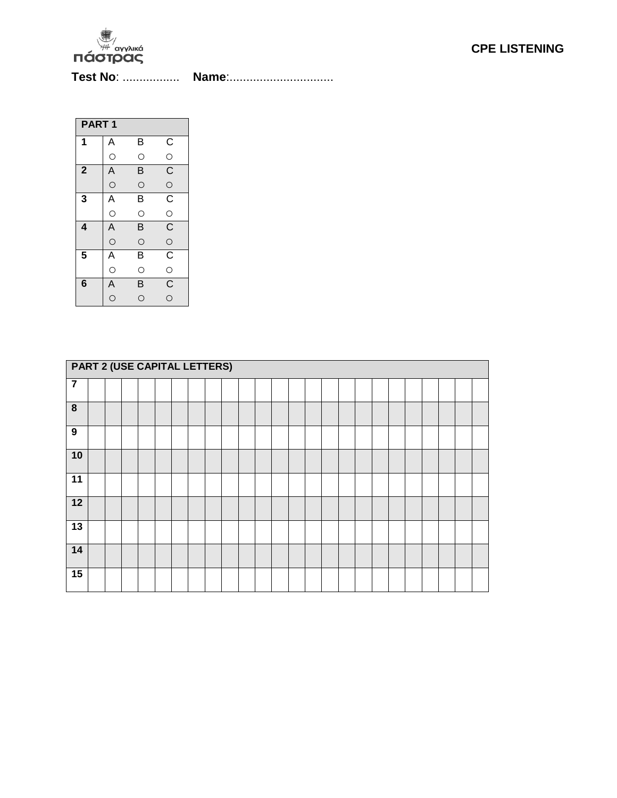

**Test No**: ................. **Name**:...............................

| PART <sub>1</sub>       |                         |                         |                         |  |  |  |  |  |
|-------------------------|-------------------------|-------------------------|-------------------------|--|--|--|--|--|
| 1                       | Α                       | В                       | $\overline{C}$          |  |  |  |  |  |
|                         | $\circ$                 | $\circ$                 |                         |  |  |  |  |  |
| $\overline{\mathbf{2}}$ | $\overline{A}$          | B                       | $\overline{\mathrm{C}}$ |  |  |  |  |  |
|                         | $\circ$                 | $\circ$                 | $\circ$                 |  |  |  |  |  |
| 3                       | $\overline{A}$          | В                       | $\overline{c}$          |  |  |  |  |  |
|                         | $\circ$                 | $\circ$                 | $\circ$                 |  |  |  |  |  |
| 4                       | $\overline{A}$          | B                       | $\overline{\mathsf{C}}$ |  |  |  |  |  |
|                         | $\circ$                 | $\circ$                 | $\circ$                 |  |  |  |  |  |
| 5                       | Ā                       | B                       | $\overline{C}$          |  |  |  |  |  |
|                         | $\circ$                 | $\circ$                 | $\circ$                 |  |  |  |  |  |
| $6\phantom{1}6$         | $\overline{\mathsf{A}}$ | $\overline{\mathsf{B}}$ | $\overline{C}$          |  |  |  |  |  |
|                         | $\circ$                 | Ó                       | $\overline{O}$          |  |  |  |  |  |

|                         | <b>PART 2 (USE CAPITAL LETTERS)</b> |  |  |  |  |  |  |  |  |  |  |  |  |  |  |  |  |  |  |  |
|-------------------------|-------------------------------------|--|--|--|--|--|--|--|--|--|--|--|--|--|--|--|--|--|--|--|
| $\overline{\mathbf{7}}$ |                                     |  |  |  |  |  |  |  |  |  |  |  |  |  |  |  |  |  |  |  |
| 8                       |                                     |  |  |  |  |  |  |  |  |  |  |  |  |  |  |  |  |  |  |  |
| $\boldsymbol{9}$        |                                     |  |  |  |  |  |  |  |  |  |  |  |  |  |  |  |  |  |  |  |
| 10                      |                                     |  |  |  |  |  |  |  |  |  |  |  |  |  |  |  |  |  |  |  |
| $\overline{11}$         |                                     |  |  |  |  |  |  |  |  |  |  |  |  |  |  |  |  |  |  |  |
| 12                      |                                     |  |  |  |  |  |  |  |  |  |  |  |  |  |  |  |  |  |  |  |
| 13                      |                                     |  |  |  |  |  |  |  |  |  |  |  |  |  |  |  |  |  |  |  |
| 14                      |                                     |  |  |  |  |  |  |  |  |  |  |  |  |  |  |  |  |  |  |  |
| 15                      |                                     |  |  |  |  |  |  |  |  |  |  |  |  |  |  |  |  |  |  |  |